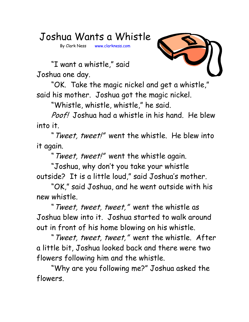Joshua Wants a Whistle

By Clark Ness www.clarkness.com



 "I want a whistle," said Joshua one day.

 "OK. Take the magic nickel and get a whistle," said his mother. Joshua got the magic nickel.

"Whistle, whistle, whistle," he said.

Poof! Joshua had a whistle in his hand. He blew into it.

"Tweet, tweet!" went the whistle. He blew into it again.

"Tweet, tweet!" went the whistle again.

"Joshua, why don't you take your whistle outside? It is a little loud," said Joshua's mother.

"OK," said Joshua, and he went outside with his new whistle.

"Tweet, tweet, tweet," went the whistle as Joshua blew into it. Joshua started to walk around out in front of his home blowing on his whistle.

"Tweet, tweet, tweet," went the whistle. After a little bit, Joshua looked back and there were two flowers following him and the whistle.

"Why are you following me?" Joshua asked the flowers.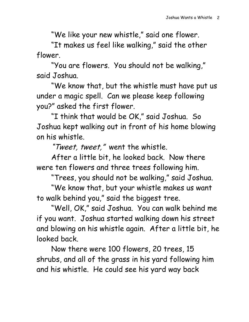"We like your new whistle," said one flower.

"It makes us feel like walking," said the other flower.

"You are flowers. You should not be walking," said Joshua.

"We know that, but the whistle must have put us under a magic spell. Can we please keep following you?" asked the first flower.

"I think that would be OK," said Joshua. So Joshua kept walking out in front of his home blowing on his whistle.

"Tweet, tweet," went the whistle.

After a little bit, he looked back. Now there were ten flowers and three trees following him.

"Trees, you should not be walking," said Joshua.

"We know that, but your whistle makes us want to walk behind you," said the biggest tree.

"Well, OK," said Joshua. You can walk behind me if you want. Joshua started walking down his street and blowing on his whistle again. After a little bit, he looked back.

Now there were 100 flowers, 20 trees, 15 shrubs, and all of the grass in his yard following him and his whistle. He could see his yard way back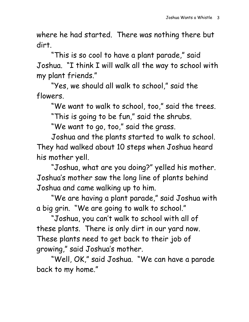where he had started. There was nothing there but dirt.

"This is so cool to have a plant parade," said Joshua. "I think I will walk all the way to school with my plant friends."

"Yes, we should all walk to school," said the flowers.

"We want to walk to school, too," said the trees.

"This is going to be fun," said the shrubs.

"We want to go, too," said the grass.

Joshua and the plants started to walk to school. They had walked about 10 steps when Joshua heard his mother yell.

"Joshua, what are you doing?" yelled his mother. Joshua's mother saw the long line of plants behind Joshua and came walking up to him.

"We are having a plant parade," said Joshua with a big grin. "We are going to walk to school."

"Joshua, you can't walk to school with all of these plants. There is only dirt in our yard now. These plants need to get back to their job of growing," said Joshua's mother.

"Well, OK," said Joshua. "We can have a parade back to my home."